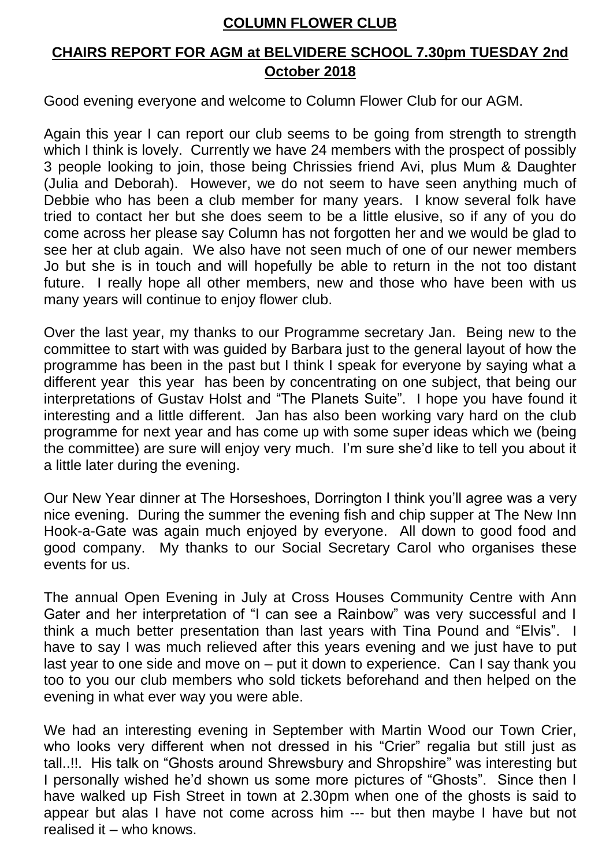## **COLUMN FLOWER CLUB**

## **CHAIRS REPORT FOR AGM at BELVIDERE SCHOOL 7.30pm TUESDAY 2nd October 2018**

Good evening everyone and welcome to Column Flower Club for our AGM.

Again this year I can report our club seems to be going from strength to strength which I think is lovely. Currently we have 24 members with the prospect of possibly 3 people looking to join, those being Chrissies friend Avi, plus Mum & Daughter (Julia and Deborah). However, we do not seem to have seen anything much of Debbie who has been a club member for many years. I know several folk have tried to contact her but she does seem to be a little elusive, so if any of you do come across her please say Column has not forgotten her and we would be glad to see her at club again. We also have not seen much of one of our newer members Jo but she is in touch and will hopefully be able to return in the not too distant future. I really hope all other members, new and those who have been with us many years will continue to enjoy flower club.

Over the last year, my thanks to our Programme secretary Jan. Being new to the committee to start with was guided by Barbara just to the general layout of how the programme has been in the past but I think I speak for everyone by saying what a different year this year has been by concentrating on one subject, that being our interpretations of Gustav Holst and "The Planets Suite". I hope you have found it interesting and a little different. Jan has also been working vary hard on the club programme for next year and has come up with some super ideas which we (being the committee) are sure will enjoy very much. I'm sure she'd like to tell you about it a little later during the evening.

Our New Year dinner at The Horseshoes, Dorrington I think you'll agree was a very nice evening. During the summer the evening fish and chip supper at The New Inn Hook-a-Gate was again much enjoyed by everyone. All down to good food and good company. My thanks to our Social Secretary Carol who organises these events for us.

The annual Open Evening in July at Cross Houses Community Centre with Ann Gater and her interpretation of "I can see a Rainbow" was very successful and I think a much better presentation than last years with Tina Pound and "Elvis". I have to say I was much relieved after this years evening and we just have to put last year to one side and move on – put it down to experience. Can I say thank you too to you our club members who sold tickets beforehand and then helped on the evening in what ever way you were able.

We had an interesting evening in September with Martin Wood our Town Crier, who looks very different when not dressed in his "Crier" regalia but still just as tall..!!. His talk on "Ghosts around Shrewsbury and Shropshire" was interesting but I personally wished he'd shown us some more pictures of "Ghosts". Since then I have walked up Fish Street in town at 2.30pm when one of the ghosts is said to appear but alas I have not come across him --- but then maybe I have but not realised it – who knows.